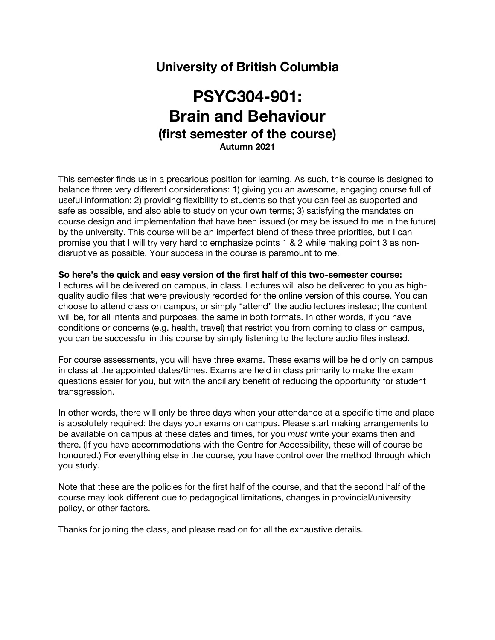# **University of British Columbia**

# **PSYC304-901: Brain and Behaviour (first semester of the course) Autumn 2021**

This semester finds us in a precarious position for learning. As such, this course is designed to balance three very different considerations: 1) giving you an awesome, engaging course full of useful information; 2) providing flexibility to students so that you can feel as supported and safe as possible, and also able to study on your own terms; 3) satisfying the mandates on course design and implementation that have been issued (or may be issued to me in the future) by the university. This course will be an imperfect blend of these three priorities, but I can promise you that I will try very hard to emphasize points 1 & 2 while making point 3 as nondisruptive as possible. Your success in the course is paramount to me.

### **So here's the quick and easy version of the first half of this two-semester course:**

Lectures will be delivered on campus, in class. Lectures will also be delivered to you as highquality audio files that were previously recorded for the online version of this course. You can choose to attend class on campus, or simply "attend" the audio lectures instead; the content will be, for all intents and purposes, the same in both formats. In other words, if you have conditions or concerns (e.g. health, travel) that restrict you from coming to class on campus, you can be successful in this course by simply listening to the lecture audio files instead.

For course assessments, you will have three exams. These exams will be held only on campus in class at the appointed dates/times. Exams are held in class primarily to make the exam questions easier for you, but with the ancillary benefit of reducing the opportunity for student transgression.

In other words, there will only be three days when your attendance at a specific time and place is absolutely required: the days your exams on campus. Please start making arrangements to be available on campus at these dates and times, for you *must* write your exams then and there. (If you have accommodations with the Centre for Accessibility, these will of course be honoured.) For everything else in the course, you have control over the method through which you study.

Note that these are the policies for the first half of the course, and that the second half of the course may look different due to pedagogical limitations, changes in provincial/university policy, or other factors.

Thanks for joining the class, and please read on for all the exhaustive details.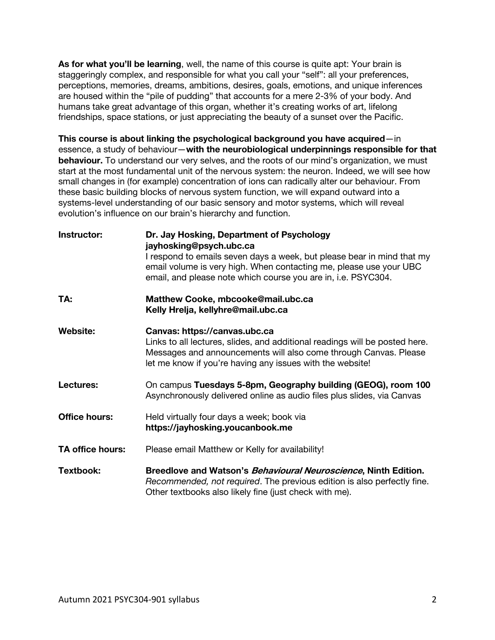**As for what you'll be learning**, well, the name of this course is quite apt: Your brain is staggeringly complex, and responsible for what you call your "self": all your preferences, perceptions, memories, dreams, ambitions, desires, goals, emotions, and unique inferences are housed within the "pile of pudding" that accounts for a mere 2-3% of your body. And humans take great advantage of this organ, whether it's creating works of art, lifelong friendships, space stations, or just appreciating the beauty of a sunset over the Pacific.

**This course is about linking the psychological background you have acquired**—in essence, a study of behaviour—**with the neurobiological underpinnings responsible for that behaviour.** To understand our very selves, and the roots of our mind's organization, we must start at the most fundamental unit of the nervous system: the neuron. Indeed, we will see how small changes in (for example) concentration of ions can radically alter our behaviour. From these basic building blocks of nervous system function, we will expand outward into a systems-level understanding of our basic sensory and motor systems, which will reveal evolution's influence on our brain's hierarchy and function.

| Instructor:          | Dr. Jay Hosking, Department of Psychology<br>jayhosking@psych.ubc.ca<br>I respond to emails seven days a week, but please bear in mind that my<br>email volume is very high. When contacting me, please use your UBC<br>email, and please note which course you are in, i.e. PSYC304. |
|----------------------|---------------------------------------------------------------------------------------------------------------------------------------------------------------------------------------------------------------------------------------------------------------------------------------|
| TA:                  | Matthew Cooke, mbcooke@mail.ubc.ca<br>Kelly Hrelja, kellyhre@mail.ubc.ca                                                                                                                                                                                                              |
| Website:             | Canvas: https://canvas.ubc.ca<br>Links to all lectures, slides, and additional readings will be posted here.<br>Messages and announcements will also come through Canvas. Please<br>let me know if you're having any issues with the website!                                         |
| Lectures:            | On campus Tuesdays 5-8pm, Geography building (GEOG), room 100<br>Asynchronously delivered online as audio files plus slides, via Canvas                                                                                                                                               |
| <b>Office hours:</b> | Held virtually four days a week; book via<br>https://jayhosking.youcanbook.me                                                                                                                                                                                                         |
| TA office hours:     | Please email Matthew or Kelly for availability!                                                                                                                                                                                                                                       |
| Textbook:            | Breedlove and Watson's Behavioural Neuroscience, Ninth Edition.<br>Recommended, not required. The previous edition is also perfectly fine.<br>Other textbooks also likely fine (just check with me).                                                                                  |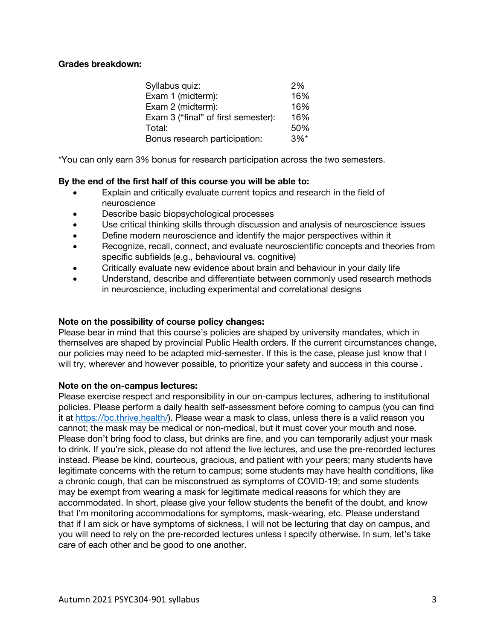# **Grades breakdown:**

| Syllabus quiz:                      | 2%                 |
|-------------------------------------|--------------------|
| Exam 1 (midterm):                   | 16%                |
| Exam 2 (midterm):                   | 16%                |
| Exam 3 ("final" of first semester): | 16%                |
| Total:                              | 50%                |
| Bonus research participation:       | $3\%$ <sup>*</sup> |

\*You can only earn 3% bonus for research participation across the two semesters.

# **By the end of the first half of this course you will be able to:**

- Explain and critically evaluate current topics and research in the field of neuroscience
- Describe basic biopsychological processes
- Use critical thinking skills through discussion and analysis of neuroscience issues
- Define modern neuroscience and identify the major perspectives within it
- Recognize, recall, connect, and evaluate neuroscientific concepts and theories from specific subfields (e.g., behavioural vs. cognitive)
- Critically evaluate new evidence about brain and behaviour in your daily life
- Understand, describe and differentiate between commonly used research methods in neuroscience, including experimental and correlational designs

## **Note on the possibility of course policy changes:**

Please bear in mind that this course's policies are shaped by university mandates, which in themselves are shaped by provincial Public Health orders. If the current circumstances change, our policies may need to be adapted mid-semester. If this is the case, please just know that I will try, wherever and however possible, to prioritize your safety and success in this course .

## **Note on the on-campus lectures:**

Please exercise respect and responsibility in our on-campus lectures, adhering to institutional policies. Please perform a daily health self-assessment before coming to campus (you can find it at https://bc.thrive.health/). Please wear a mask to class, unless there is a valid reason you cannot; the mask may be medical or non-medical, but it must cover your mouth and nose. Please don't bring food to class, but drinks are fine, and you can temporarily adjust your mask to drink. If you're sick, please do not attend the live lectures, and use the pre-recorded lectures instead. Please be kind, courteous, gracious, and patient with your peers; many students have legitimate concerns with the return to campus; some students may have health conditions, like a chronic cough, that can be misconstrued as symptoms of COVID-19; and some students may be exempt from wearing a mask for legitimate medical reasons for which they are accommodated. In short, please give your fellow students the benefit of the doubt, and know that I'm monitoring accommodations for symptoms, mask-wearing, etc. Please understand that if I am sick or have symptoms of sickness, I will not be lecturing that day on campus, and you will need to rely on the pre-recorded lectures unless I specify otherwise. In sum, let's take care of each other and be good to one another.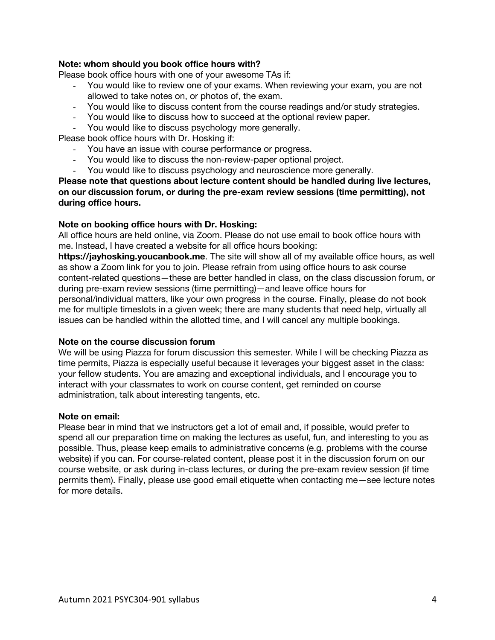# **Note: whom should you book office hours with?**

Please book office hours with one of your awesome TAs if:

- You would like to review one of your exams. When reviewing your exam, you are not allowed to take notes on, or photos of, the exam.
- You would like to discuss content from the course readings and/or study strategies.
- You would like to discuss how to succeed at the optional review paper.
- You would like to discuss psychology more generally.

Please book office hours with Dr. Hosking if:

- You have an issue with course performance or progress.
- You would like to discuss the non-review-paper optional project.
- You would like to discuss psychology and neuroscience more generally.

**Please note that questions about lecture content should be handled during live lectures, on our discussion forum, or during the pre-exam review sessions (time permitting), not during office hours.**

# **Note on booking office hours with Dr. Hosking:**

All office hours are held online, via Zoom. Please do not use email to book office hours with me. Instead, I have created a website for all office hours booking:

**https://jayhosking.youcanbook.me**. The site will show all of my available office hours, as well as show a Zoom link for you to join. Please refrain from using office hours to ask course content-related questions—these are better handled in class, on the class discussion forum, or during pre-exam review sessions (time permitting)—and leave office hours for personal/individual matters, like your own progress in the course. Finally, please do not book me for multiple timeslots in a given week; there are many students that need help, virtually all issues can be handled within the allotted time, and I will cancel any multiple bookings.

## **Note on the course discussion forum**

We will be using Piazza for forum discussion this semester. While I will be checking Piazza as time permits, Piazza is especially useful because it leverages your biggest asset in the class: your fellow students. You are amazing and exceptional individuals, and I encourage you to interact with your classmates to work on course content, get reminded on course administration, talk about interesting tangents, etc.

## **Note on email:**

Please bear in mind that we instructors get a lot of email and, if possible, would prefer to spend all our preparation time on making the lectures as useful, fun, and interesting to you as possible. Thus, please keep emails to administrative concerns (e.g. problems with the course website) if you can. For course-related content, please post it in the discussion forum on our course website, or ask during in-class lectures, or during the pre-exam review session (if time permits them). Finally, please use good email etiquette when contacting me—see lecture notes for more details.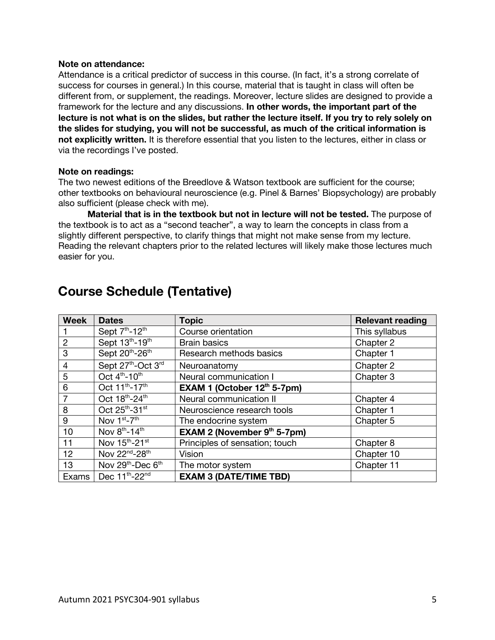## **Note on attendance:**

Attendance is a critical predictor of success in this course. (In fact, it's a strong correlate of success for courses in general.) In this course, material that is taught in class will often be different from, or supplement, the readings. Moreover, lecture slides are designed to provide a framework for the lecture and any discussions. **In other words, the important part of the lecture is not what is on the slides, but rather the lecture itself. If you try to rely solely on the slides for studying, you will not be successful, as much of the critical information is not explicitly written.** It is therefore essential that you listen to the lectures, either in class or via the recordings I've posted.

### **Note on readings:**

The two newest editions of the Breedlove & Watson textbook are sufficient for the course; other textbooks on behavioural neuroscience (e.g. Pinel & Barnes' Biopsychology) are probably also sufficient (please check with me).

**Material that is in the textbook but not in lecture will not be tested.** The purpose of the textbook is to act as a "second teacher", a way to learn the concepts in class from a slightly different perspective, to clarify things that might not make sense from my lecture. Reading the relevant chapters prior to the related lectures will likely make those lectures much easier for you.

| <b>Week</b>    | <b>Dates</b>                              | <b>Topic</b>                       | <b>Relevant reading</b> |
|----------------|-------------------------------------------|------------------------------------|-------------------------|
|                | Sept 7 <sup>th</sup> -12 <sup>th</sup>    | Course orientation                 | This syllabus           |
| 2              | Sept 13th-19th                            | <b>Brain basics</b>                | Chapter 2               |
| 3              | Sept 20th-26th                            | Research methods basics            | Chapter 1               |
| $\overline{4}$ | Sept 27th-Oct 3rd                         | Neuroanatomy                       | Chapter 2               |
| 5              | Oct 4 <sup>th</sup> -10 <sup>th</sup>     | Neural communication I             | Chapter 3               |
| 6              | Oct 11 <sup>th</sup> -17 <sup>th</sup>    | EXAM 1 (October $12th 5-7pm$ )     |                         |
| 7              | Oct 18th-24th                             | Neural communication II            | Chapter 4               |
| 8              | Oct 25th-31st                             | Neuroscience research tools        | Chapter 1               |
| 9              | Nov 1 <sup>st</sup> -7 <sup>th</sup>      | The endocrine system               | Chapter 5               |
| 10             | Nov $8^{th}$ -14 <sup>th</sup>            | <b>EXAM 2 (November 9th 5-7pm)</b> |                         |
| 11             | Nov 15 <sup>th</sup> -21 <sup>st</sup>    | Principles of sensation; touch     | Chapter 8               |
| 12             | Nov 22 <sup>nd</sup> -28 <sup>th</sup>    | Vision                             | Chapter 10              |
| 13             | Nov 29 <sup>th</sup> -Dec 6 <sup>th</sup> | The motor system                   | Chapter 11              |
| Exams          | Dec 11 <sup>th</sup> -22 <sup>nd</sup>    | <b>EXAM 3 (DATE/TIME TBD)</b>      |                         |

# **Course Schedule (Tentative)**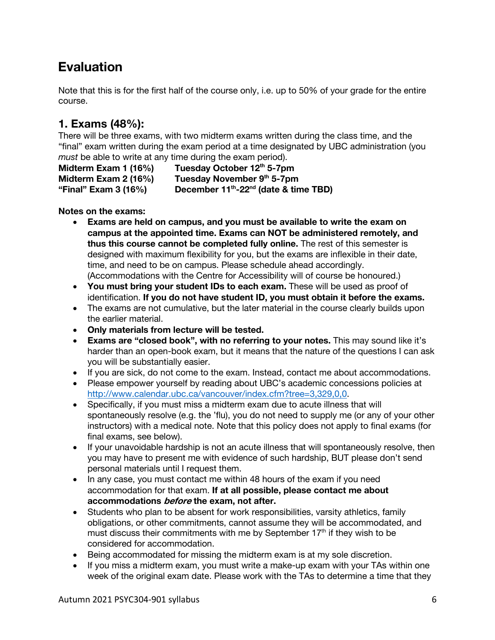# **Evaluation**

Note that this is for the first half of the course only, i.e. up to 50% of your grade for the entire course.

# **1. Exams (48%):**

There will be three exams, with two midterm exams written during the class time, and the "final" exam written during the exam period at a time designated by UBC administration (you *must* be able to write at any time during the exam period).

**Midterm Exam 1 (16%) Tuesday October 12th 5-7pm Midterm Exam 2 (16%)** Tuesday November 9<sup>th</sup> 5-7pm **"Final" Exam 3 (16%) December 11th-22nd (date & time TBD)**

# **Notes on the exams:**

- **Exams are held on campus, and you must be available to write the exam on campus at the appointed time. Exams can NOT be administered remotely, and thus this course cannot be completed fully online.** The rest of this semester is designed with maximum flexibility for you, but the exams are inflexible in their date, time, and need to be on campus. Please schedule ahead accordingly. (Accommodations with the Centre for Accessibility will of course be honoured.)
- **You must bring your student IDs to each exam.** These will be used as proof of identification. **If you do not have student ID, you must obtain it before the exams.**
- The exams are not cumulative, but the later material in the course clearly builds upon the earlier material.
- **Only materials from lecture will be tested.**
- **Exams are "closed book", with no referring to your notes.** This may sound like it's harder than an open-book exam, but it means that the nature of the questions I can ask you will be substantially easier.
- If you are sick, do not come to the exam. Instead, contact me about accommodations.
- Please empower yourself by reading about UBC's academic concessions policies at http://www.calendar.ubc.ca/vancouver/index.cfm?tree=3,329,0,0.
- Specifically, if you must miss a midterm exam due to acute illness that will spontaneously resolve (e.g. the 'flu), you do not need to supply me (or any of your other instructors) with a medical note. Note that this policy does not apply to final exams (for final exams, see below).
- If your unavoidable hardship is not an acute illness that will spontaneously resolve, then you may have to present me with evidence of such hardship, BUT please don't send personal materials until I request them.
- In any case, you must contact me within 48 hours of the exam if you need accommodation for that exam. **If at all possible, please contact me about accommodations before the exam, not after.**
- Students who plan to be absent for work responsibilities, varsity athletics, family obligations, or other commitments, cannot assume they will be accommodated, and must discuss their commitments with me by September  $17<sup>th</sup>$  if they wish to be considered for accommodation.
- Being accommodated for missing the midterm exam is at my sole discretion.
- If you miss a midterm exam, you must write a make-up exam with your TAs within one week of the original exam date. Please work with the TAs to determine a time that they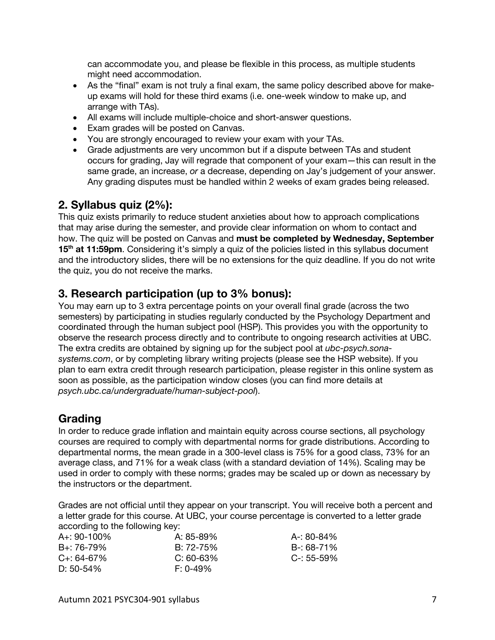can accommodate you, and please be flexible in this process, as multiple students might need accommodation.

- As the "final" exam is not truly a final exam, the same policy described above for makeup exams will hold for these third exams (i.e. one-week window to make up, and arrange with TAs).
- All exams will include multiple-choice and short-answer questions.
- Exam grades will be posted on Canvas.
- You are strongly encouraged to review your exam with your TAs.
- Grade adjustments are very uncommon but if a dispute between TAs and student occurs for grading, Jay will regrade that component of your exam—this can result in the same grade, an increase, *or* a decrease, depending on Jay's judgement of your answer. Any grading disputes must be handled within 2 weeks of exam grades being released.

# **2. Syllabus quiz (2%):**

This quiz exists primarily to reduce student anxieties about how to approach complications that may arise during the semester, and provide clear information on whom to contact and how. The quiz will be posted on Canvas and **must be completed by Wednesday, September**  15<sup>th</sup> at 11:59pm. Considering it's simply a quiz of the policies listed in this syllabus document and the introductory slides, there will be no extensions for the quiz deadline. If you do not write the quiz, you do not receive the marks.

# **3. Research participation (up to 3% bonus):**

You may earn up to 3 extra percentage points on your overall final grade (across the two semesters) by participating in studies regularly conducted by the Psychology Department and coordinated through the human subject pool (HSP). This provides you with the opportunity to observe the research process directly and to contribute to ongoing research activities at UBC. The extra credits are obtained by signing up for the subject pool at *ubc-psych.sonasystems.com*, or by completing library writing projects (please see the HSP website). If you plan to earn extra credit through research participation, please register in this online system as soon as possible, as the participation window closes (you can find more details at *psych.ubc.ca/undergraduate/human-subject-pool*).

# **Grading**

In order to reduce grade inflation and maintain equity across course sections, all psychology courses are required to comply with departmental norms for grade distributions. According to departmental norms, the mean grade in a 300-level class is 75% for a good class, 73% for an average class, and 71% for a weak class (with a standard deviation of 14%). Scaling may be used in order to comply with these norms; grades may be scaled up or down as necessary by the instructors or the department.

Grades are not official until they appear on your transcript. You will receive both a percent and a letter grade for this course. At UBC, your course percentage is converted to a letter grade according to the following key:

| A+: 90-100%      | A: 85-89%   | A-: 80-84%      |
|------------------|-------------|-----------------|
| B+: 76-79%       | B: 72-75%   | B-: 68-71%      |
| $C_{+}$ : 64-67% | $C: 60-63%$ | $C - 55 - 59\%$ |
| D: 50-54%        | $F: 0-49\%$ |                 |
|                  |             |                 |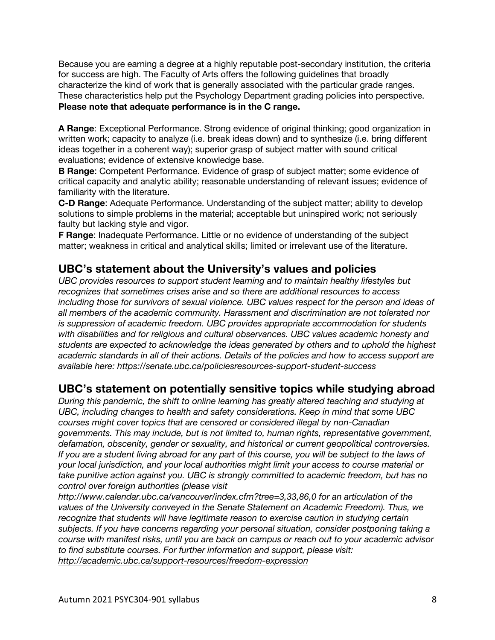Because you are earning a degree at a highly reputable post-secondary institution, the criteria for success are high. The Faculty of Arts offers the following guidelines that broadly characterize the kind of work that is generally associated with the particular grade ranges. These characteristics help put the Psychology Department grading policies into perspective. **Please note that adequate performance is in the C range.**

**A Range**: Exceptional Performance. Strong evidence of original thinking; good organization in written work; capacity to analyze (i.e. break ideas down) and to synthesize (i.e. bring different ideas together in a coherent way); superior grasp of subject matter with sound critical evaluations; evidence of extensive knowledge base.

**B Range**: Competent Performance. Evidence of grasp of subject matter; some evidence of critical capacity and analytic ability; reasonable understanding of relevant issues; evidence of familiarity with the literature.

**C-D Range**: Adequate Performance. Understanding of the subject matter; ability to develop solutions to simple problems in the material; acceptable but uninspired work; not seriously faulty but lacking style and vigor.

**F Range**: Inadequate Performance. Little or no evidence of understanding of the subject matter; weakness in critical and analytical skills; limited or irrelevant use of the literature.

# **UBC's statement about the University's values and policies**

*UBC provides resources to support student learning and to maintain healthy lifestyles but recognizes that sometimes crises arise and so there are additional resources to access including those for survivors of sexual violence. UBC values respect for the person and ideas of all members of the academic community. Harassment and discrimination are not tolerated nor is suppression of academic freedom. UBC provides appropriate accommodation for students with disabilities and for religious and cultural observances. UBC values academic honesty and students are expected to acknowledge the ideas generated by others and to uphold the highest academic standards in all of their actions. Details of the policies and how to access support are available here: https://senate.ubc.ca/policiesresources-support-student-success*

# **UBC's statement on potentially sensitive topics while studying abroad**

*During this pandemic, the shift to online learning has greatly altered teaching and studying at UBC, including changes to health and safety considerations. Keep in mind that some UBC courses might cover topics that are censored or considered illegal by non-Canadian governments. This may include, but is not limited to, human rights, representative government, defamation, obscenity, gender or sexuality, and historical or current geopolitical controversies. If you are a student living abroad for any part of this course, you will be subject to the laws of your local jurisdiction, and your local authorities might limit your access to course material or take punitive action against you. UBC is strongly committed to academic freedom, but has no control over foreign authorities (please visit* 

*http://www.calendar.ubc.ca/vancouver/index.cfm?tree=3,33,86,0 for an articulation of the values of the University conveyed in the Senate Statement on Academic Freedom). Thus, we recognize that students will have legitimate reason to exercise caution in studying certain subjects. If you have concerns regarding your personal situation, consider postponing taking a course with manifest risks, until you are back on campus or reach out to your academic advisor to find substitute courses. For further information and support, please visit: http://academic.ubc.ca/support-resources/freedom-expression*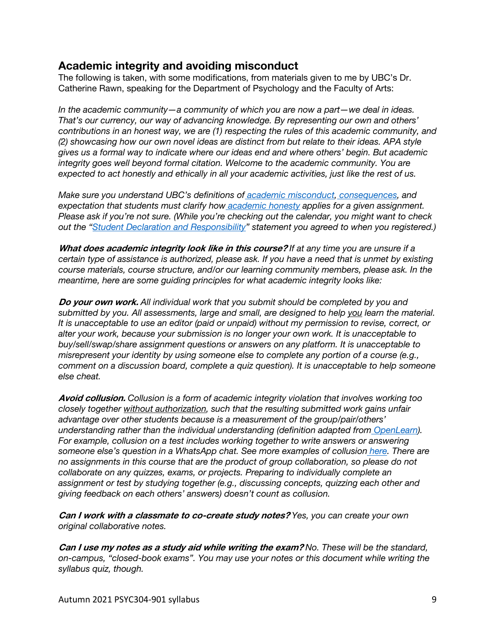# **Academic integrity and avoiding misconduct**

The following is taken, with some modifications, from materials given to me by UBC's Dr. Catherine Rawn, speaking for the Department of Psychology and the Faculty of Arts:

*In the academic community—a community of which you are now a part—we deal in ideas. That's our currency, our way of advancing knowledge. By representing our own and others' contributions in an honest way, we are (1) respecting the rules of this academic community, and (2) showcasing how our own novel ideas are distinct from but relate to their ideas. APA style gives us a formal way to indicate where our ideas end and where others' begin. But academic integrity goes well beyond formal citation. Welcome to the academic community. You are expected to act honestly and ethically in all your academic activities, just like the rest of us.*

*Make sure you understand UBC's definitions of academic misconduct, consequences, and expectation that students must clarify how academic honesty applies for a given assignment. Please ask if you're not sure. (While you're checking out the calendar, you might want to check out the "Student Declaration and Responsibility" statement you agreed to when you registered.)*

**What does academic integrity look like in this course?** *If at any time you are unsure if a certain type of assistance is authorized, please ask. If you have a need that is unmet by existing course materials, course structure, and/or our learning community members, please ask. In the meantime, here are some guiding principles for what academic integrity looks like:*

**Do your own work.** *All individual work that you submit should be completed by you and submitted by you. All assessments, large and small, are designed to help you learn the material. It is unacceptable to use an editor (paid or unpaid) without my permission to revise, correct, or alter your work, because your submission is no longer your own work. It is unacceptable to buy/sell/swap/share assignment questions or answers on any platform. It is unacceptable to misrepresent your identity by using someone else to complete any portion of a course (e.g., comment on a discussion board, complete a quiz question). It is unacceptable to help someone else cheat.*

**Avoid collusion.** *Collusion is a form of academic integrity violation that involves working too closely together without authorization, such that the resulting submitted work gains unfair advantage over other students because is a measurement of the group/pair/others' understanding rather than the individual understanding (definition adapted from OpenLearn). For example, collusion on a test includes working together to write answers or answering someone else's question in a WhatsApp chat. See more examples of collusion here. There are no assignments in this course that are the product of group collaboration, so please do not collaborate on any quizzes, exams, or projects. Preparing to individually complete an assignment or test by studying together (e.g., discussing concepts, quizzing each other and giving feedback on each others' answers) doesn't count as collusion.*

**Can I work with a classmate to co-create study notes?** *Yes, you can create your own original collaborative notes.*

**Can I use my notes as a study aid while writing the exam?** *No. These will be the standard, on-campus, "closed-book exams". You may use your notes or this document while writing the syllabus quiz, though.*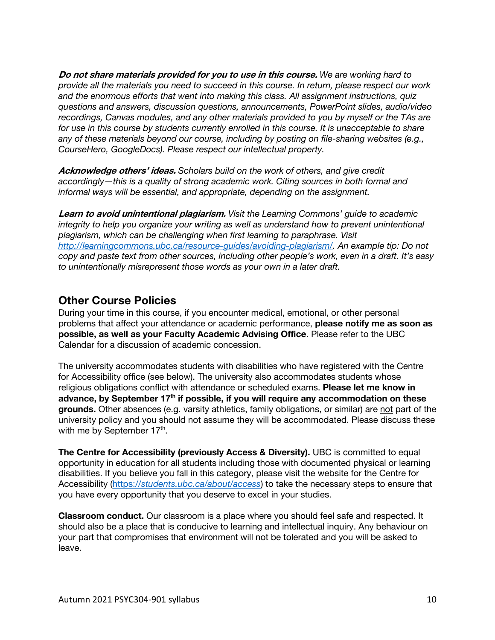**Do not share materials provided for you to use in this course.** *We are working hard to provide all the materials you need to succeed in this course. In return, please respect our work and the enormous efforts that went into making this class. All assignment instructions, quiz questions and answers, discussion questions, announcements, PowerPoint slides, audio/video recordings, Canvas modules, and any other materials provided to you by myself or the TAs are*  for use in this course by students currently enrolled in this course. It is unacceptable to share *any of these materials beyond our course, including by posting on file-sharing websites (e.g., CourseHero, GoogleDocs). Please respect our intellectual property.*

**Acknowledge others' ideas.** *Scholars build on the work of others, and give credit accordingly—this is a quality of strong academic work. Citing sources in both formal and informal ways will be essential, and appropriate, depending on the assignment.*

**Learn to avoid unintentional plagiarism.** *Visit the Learning Commons' guide to academic integrity to help you organize your writing as well as understand how to prevent unintentional plagiarism, which can be challenging when first learning to paraphrase. Visit http://learningcommons.ubc.ca/resource-guides/avoiding-plagiarism/. An example tip: Do not copy and paste text from other sources, including other people's work, even in a draft. It's easy to unintentionally misrepresent those words as your own in a later draft.*

# **Other Course Policies**

During your time in this course, if you encounter medical, emotional, or other personal problems that affect your attendance or academic performance, **please notify me as soon as possible, as well as your Faculty Academic Advising Office**. Please refer to the UBC Calendar for a discussion of academic concession.

The university accommodates students with disabilities who have registered with the Centre for Accessibility office (see below). The university also accommodates students whose religious obligations conflict with attendance or scheduled exams. **Please let me know in advance, by September 17th if possible, if you will require any accommodation on these grounds.** Other absences (e.g. varsity athletics, family obligations, or similar) are not part of the university policy and you should not assume they will be accommodated. Please discuss these with me by September 17<sup>th</sup>.

**The Centre for Accessibility (previously Access & Diversity).** UBC is committed to equal opportunity in education for all students including those with documented physical or learning disabilities. If you believe you fall in this category, please visit the website for the Centre for Accessibility (https://*students.ubc.ca/about/access*) to take the necessary steps to ensure that you have every opportunity that you deserve to excel in your studies.

**Classroom conduct.** Our classroom is a place where you should feel safe and respected. It should also be a place that is conducive to learning and intellectual inquiry. Any behaviour on your part that compromises that environment will not be tolerated and you will be asked to leave.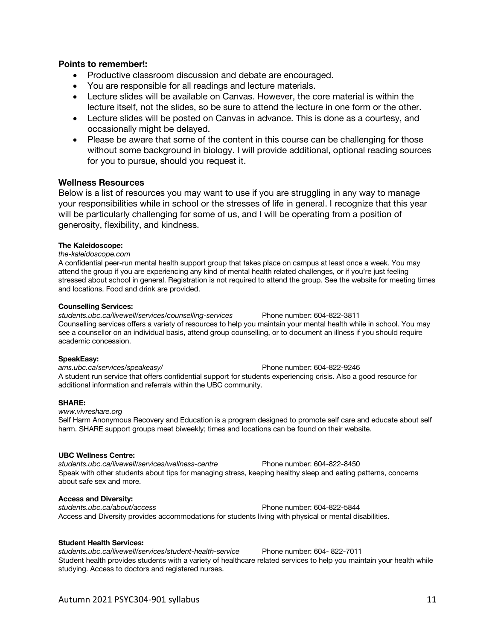### **Points to remember!:**

- Productive classroom discussion and debate are encouraged.
- You are responsible for all readings and lecture materials.
- Lecture slides will be available on Canvas. However, the core material is within the lecture itself, not the slides, so be sure to attend the lecture in one form or the other.
- Lecture slides will be posted on Canvas in advance. This is done as a courtesy, and occasionally might be delayed.
- Please be aware that some of the content in this course can be challenging for those without some background in biology. I will provide additional, optional reading sources for you to pursue, should you request it.

### **Wellness Resources**

Below is a list of resources you may want to use if you are struggling in any way to manage your responsibilities while in school or the stresses of life in general. I recognize that this year will be particularly challenging for some of us, and I will be operating from a position of generosity, flexibility, and kindness.

### **The Kaleidoscope:**

#### *the-kaleidoscope.com*

A confidential peer-run mental health support group that takes place on campus at least once a week. You may attend the group if you are experiencing any kind of mental health related challenges, or if you're just feeling stressed about school in general. Registration is not required to attend the group. See the website for meeting times and locations. Food and drink are provided.

#### **Counselling Services:**

*students.ubc.ca/livewell/services/counselling-services* Phone number: 604-822-3811 Counselling services offers a variety of resources to help you maintain your mental health while in school. You may see a counsellor on an individual basis, attend group counselling, or to document an illness if you should require academic concession.

#### **SpeakEasy:**

*ams.ubc.ca/services/speakeasy/* Phone number: 604-822-9246 A student run service that offers confidential support for students experiencing crisis. Also a good resource for additional information and referrals within the UBC community.

#### **SHARE:**

*www.vivreshare.org*  Self Harm Anonymous Recovery and Education is a program designed to promote self care and educate about self harm. SHARE support groups meet biweekly; times and locations can be found on their website.

#### **UBC Wellness Centre:**

*students.ubc.ca/livewell/services/wellness-centre* Phone number: 604-822-8450 Speak with other students about tips for managing stress, keeping healthy sleep and eating patterns, concerns about safe sex and more.

#### **Access and Diversity:**

*students.ubc.ca/about/access* Phone number: 604-822-5844 Access and Diversity provides accommodations for students living with physical or mental disabilities.

#### **Student Health Services:**

*students.ubc.ca/livewell/services/student-health-service* Phone number: 604- 822-7011 Student health provides students with a variety of healthcare related services to help you maintain your health while studying. Access to doctors and registered nurses.